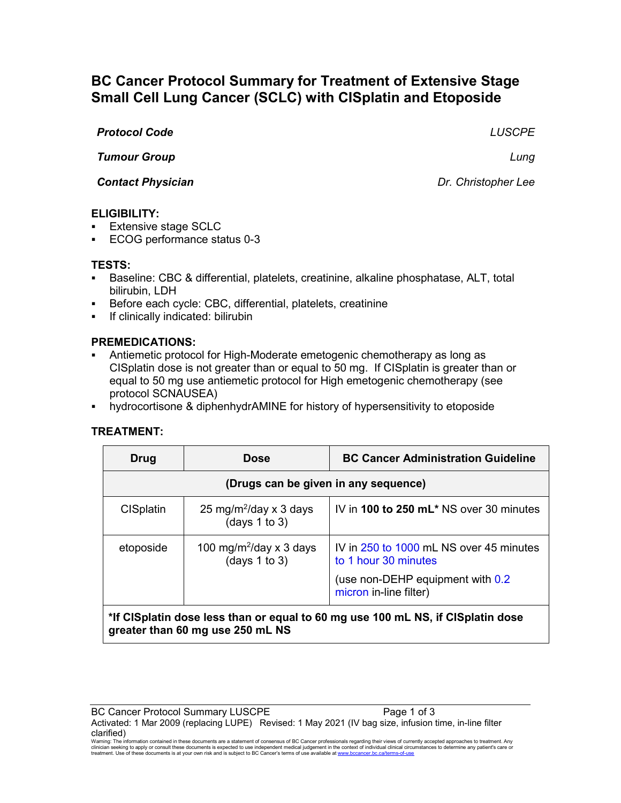# **BC Cancer Protocol Summary for Treatment of Extensive Stage Small Cell Lung Cancer (SCLC) with CISplatin and Etoposide**

#### *Protocol Code LUSCPE*

*Tumour Group Lung*

*Contact Physician Dr. Christopher Lee*

## **ELIGIBILITY:**

- **Extensive stage SCLC**
- ECOG performance status 0-3

#### **TESTS:**

- Baseline: CBC & differential, platelets, creatinine, alkaline phosphatase, ALT, total bilirubin, LDH
- Before each cycle: CBC, differential, platelets, creatinine
- **If clinically indicated: bilirubin**

## **PREMEDICATIONS:**

- Antiemetic protocol for High-Moderate emetogenic chemotherapy as long as CISplatin dose is not greater than or equal to 50 mg. If CISplatin is greater than or equal to 50 mg use antiemetic protocol for High emetogenic chemotherapy (see protocol SCNAUSEA)
- hydrocortisone & diphenhydrAMINE for history of hypersensitivity to etoposide

## **TREATMENT:**

| <b>Drug</b>                                                                     | <b>Dose</b>                                              | <b>BC Cancer Administration Guideline</b>                       |  |  |
|---------------------------------------------------------------------------------|----------------------------------------------------------|-----------------------------------------------------------------|--|--|
| (Drugs can be given in any sequence)                                            |                                                          |                                                                 |  |  |
| <b>CISplatin</b>                                                                | 25 mg/m <sup>2</sup> /day x 3 days<br>(days $1$ to $3$ ) | IV in 100 to 250 $mL^*$ NS over 30 minutes                      |  |  |
| etoposide                                                                       | 100 mg/m <sup>2</sup> /day x 3 days<br>(days 1 to 3)     | IV in 250 to 1000 mL NS over 45 minutes<br>to 1 hour 30 minutes |  |  |
|                                                                                 |                                                          | (use non-DEHP equipment with 0.2)<br>micron in-line filter)     |  |  |
| *If CISplatin doep loss than or oqual to 60 mg uso 100 mL NS. if CISplatin doso |                                                          |                                                                 |  |  |

## **\*If CISplatin dose less than or equal to 60 mg use 100 mL NS, if CISplatin dose greater than 60 mg use 250 mL NS**

Warning: The information contained in these documents are a statement of consensus of BC Cancer professionals regarding their views of currently accepted approaches to treatment. Any<br>clinician seeking to apply or consult t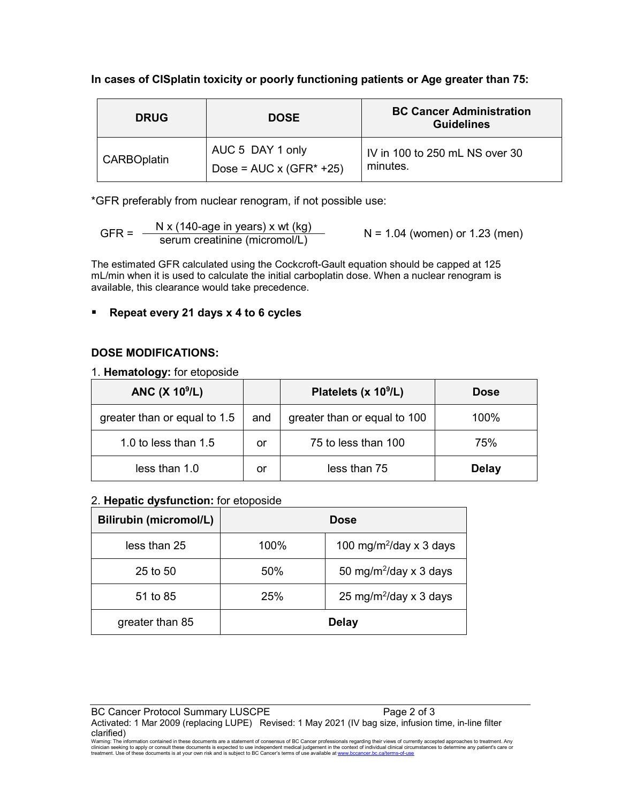## **In cases of CISplatin toxicity or poorly functioning patients or Age greater than 75:**

| <b>DRUG</b>        | <b>DOSE</b>                                         | <b>BC Cancer Administration</b><br><b>Guidelines</b> |
|--------------------|-----------------------------------------------------|------------------------------------------------------|
| <b>CARBOplatin</b> | AUC 5 DAY 1 only<br>Dose = $AUC \times (GFR^* +25)$ | IV in 100 to 250 mL NS over 30<br>minutes.           |

\*GFR preferably from nuclear renogram, if not possible use:

$$
GFR = \frac{N x (140 \text{-age in years}) x wt (kg)}{serum creationine (micromol/L)}
$$
 N = 1.04 (women) or 1.23 (men)

The estimated GFR calculated using the Cockcroft-Gault equation should be capped at 125 mL/min when it is used to calculate the initial carboplatin dose. When a nuclear renogram is available, this clearance would take precedence.

## **Repeat every 21 days x 4 to 6 cycles**

## **DOSE MODIFICATIONS:**

1. **Hematology:** for etoposide

| ANC $(X 10^9/L)$             |     | Platelets (x 10 <sup>9</sup> /L) | <b>Dose</b>  |
|------------------------------|-----|----------------------------------|--------------|
| greater than or equal to 1.5 | and | greater than or equal to 100     | 100%         |
| 1.0 to less than $1.5$       | or  | 75 to less than 100              | 75%          |
| less than 1.0<br>or          |     | less than 75                     | <b>Delay</b> |

#### 2. **Hepatic dysfunction:** for etoposide

| <b>Bilirubin (micromol/L)</b> | <b>Dose</b> |                                     |  |
|-------------------------------|-------------|-------------------------------------|--|
| less than 25                  | 100%        | 100 mg/m <sup>2</sup> /day x 3 days |  |
| $25$ to $50$                  | 50%         | 50 mg/m <sup>2</sup> /day x 3 days  |  |
| 51 to 85                      | 25%         | 25 mg/m <sup>2</sup> /day x 3 days  |  |
| greater than 85               |             | <b>Delay</b>                        |  |

BC Cancer Protocol Summary LUSCPE Page 2 of 3 Activated: 1 Mar 2009 (replacing LUPE) Revised: 1 May 2021 (IV bag size, infusion time, in-line filter

**CIATIfIEd)**<br>Warning: The information contained in these documents are a statement of consensus of BC Cancer professionals regarding their views of currently accepted approaches to treatment. Any<br>clinician seeking to apply